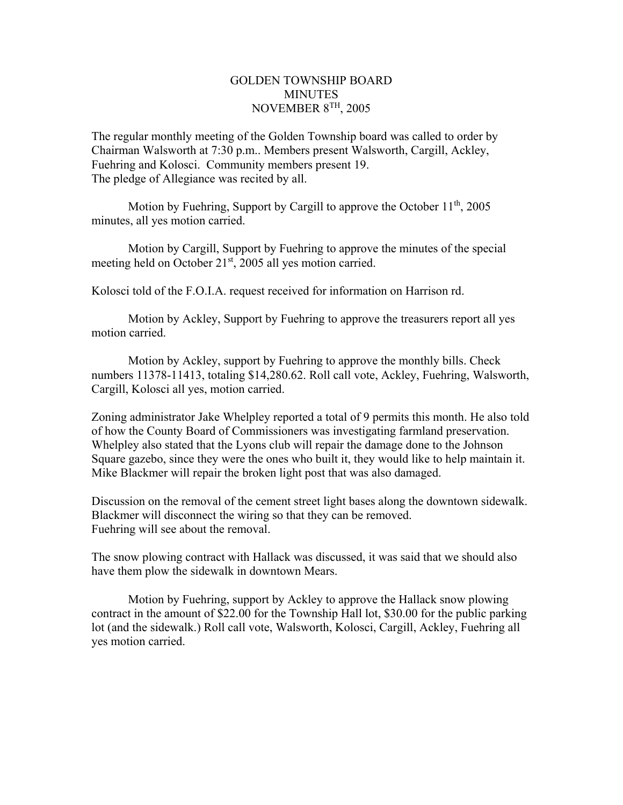## GOLDEN TOWNSHIP BOARD **MINUTES** NOVEMBER 8TH, 2005

The regular monthly meeting of the Golden Township board was called to order by Chairman Walsworth at 7:30 p.m.. Members present Walsworth, Cargill, Ackley, Fuehring and Kolosci. Community members present 19. The pledge of Allegiance was recited by all.

Motion by Fuehring, Support by Cargill to approve the October 11<sup>th</sup>, 2005 minutes, all yes motion carried.

 Motion by Cargill, Support by Fuehring to approve the minutes of the special meeting held on October 21<sup>st</sup>, 2005 all yes motion carried.

Kolosci told of the F.O.I.A. request received for information on Harrison rd.

 Motion by Ackley, Support by Fuehring to approve the treasurers report all yes motion carried.

 Motion by Ackley, support by Fuehring to approve the monthly bills. Check numbers 11378-11413, totaling \$14,280.62. Roll call vote, Ackley, Fuehring, Walsworth, Cargill, Kolosci all yes, motion carried.

Zoning administrator Jake Whelpley reported a total of 9 permits this month. He also told of how the County Board of Commissioners was investigating farmland preservation. Whelpley also stated that the Lyons club will repair the damage done to the Johnson Square gazebo, since they were the ones who built it, they would like to help maintain it. Mike Blackmer will repair the broken light post that was also damaged.

Discussion on the removal of the cement street light bases along the downtown sidewalk. Blackmer will disconnect the wiring so that they can be removed. Fuehring will see about the removal.

The snow plowing contract with Hallack was discussed, it was said that we should also have them plow the sidewalk in downtown Mears.

Motion by Fuehring, support by Ackley to approve the Hallack snow plowing contract in the amount of \$22.00 for the Township Hall lot, \$30.00 for the public parking lot (and the sidewalk.) Roll call vote, Walsworth, Kolosci, Cargill, Ackley, Fuehring all yes motion carried.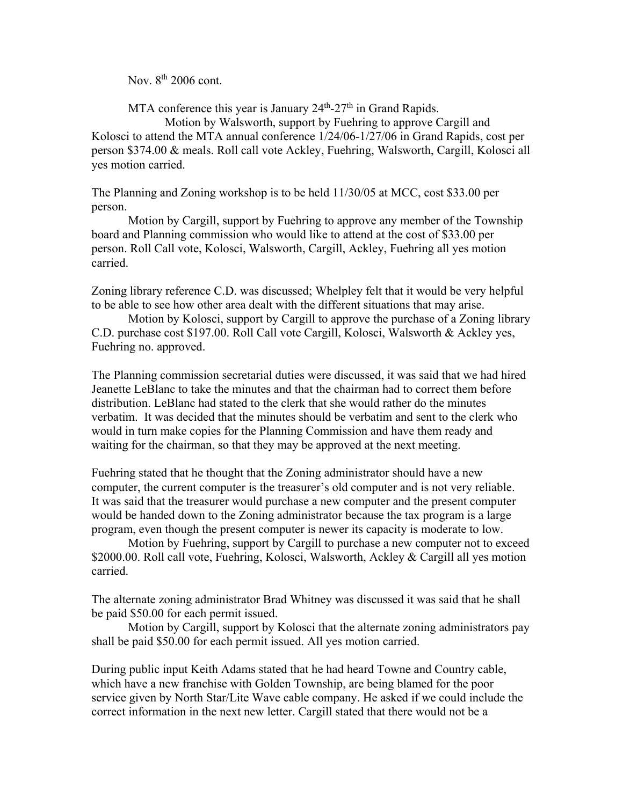Nov. 8<sup>th</sup> 2006 cont.

MTA conference this year is January  $24<sup>th</sup>$ -27<sup>th</sup> in Grand Rapids.

 Motion by Walsworth, support by Fuehring to approve Cargill and Kolosci to attend the MTA annual conference 1/24/06-1/27/06 in Grand Rapids, cost per person \$374.00 & meals. Roll call vote Ackley, Fuehring, Walsworth, Cargill, Kolosci all yes motion carried.

The Planning and Zoning workshop is to be held 11/30/05 at MCC, cost \$33.00 per person.

 Motion by Cargill, support by Fuehring to approve any member of the Township board and Planning commission who would like to attend at the cost of \$33.00 per person. Roll Call vote, Kolosci, Walsworth, Cargill, Ackley, Fuehring all yes motion carried.

Zoning library reference C.D. was discussed; Whelpley felt that it would be very helpful to be able to see how other area dealt with the different situations that may arise.

 Motion by Kolosci, support by Cargill to approve the purchase of a Zoning library C.D. purchase cost \$197.00. Roll Call vote Cargill, Kolosci, Walsworth & Ackley yes, Fuehring no. approved.

The Planning commission secretarial duties were discussed, it was said that we had hired Jeanette LeBlanc to take the minutes and that the chairman had to correct them before distribution. LeBlanc had stated to the clerk that she would rather do the minutes verbatim. It was decided that the minutes should be verbatim and sent to the clerk who would in turn make copies for the Planning Commission and have them ready and waiting for the chairman, so that they may be approved at the next meeting.

Fuehring stated that he thought that the Zoning administrator should have a new computer, the current computer is the treasurer's old computer and is not very reliable. It was said that the treasurer would purchase a new computer and the present computer would be handed down to the Zoning administrator because the tax program is a large program, even though the present computer is newer its capacity is moderate to low.

 Motion by Fuehring, support by Cargill to purchase a new computer not to exceed \$2000.00. Roll call vote, Fuehring, Kolosci, Walsworth, Ackley & Cargill all yes motion carried.

The alternate zoning administrator Brad Whitney was discussed it was said that he shall be paid \$50.00 for each permit issued.

 Motion by Cargill, support by Kolosci that the alternate zoning administrators pay shall be paid \$50.00 for each permit issued. All yes motion carried.

During public input Keith Adams stated that he had heard Towne and Country cable, which have a new franchise with Golden Township, are being blamed for the poor service given by North Star/Lite Wave cable company. He asked if we could include the correct information in the next new letter. Cargill stated that there would not be a